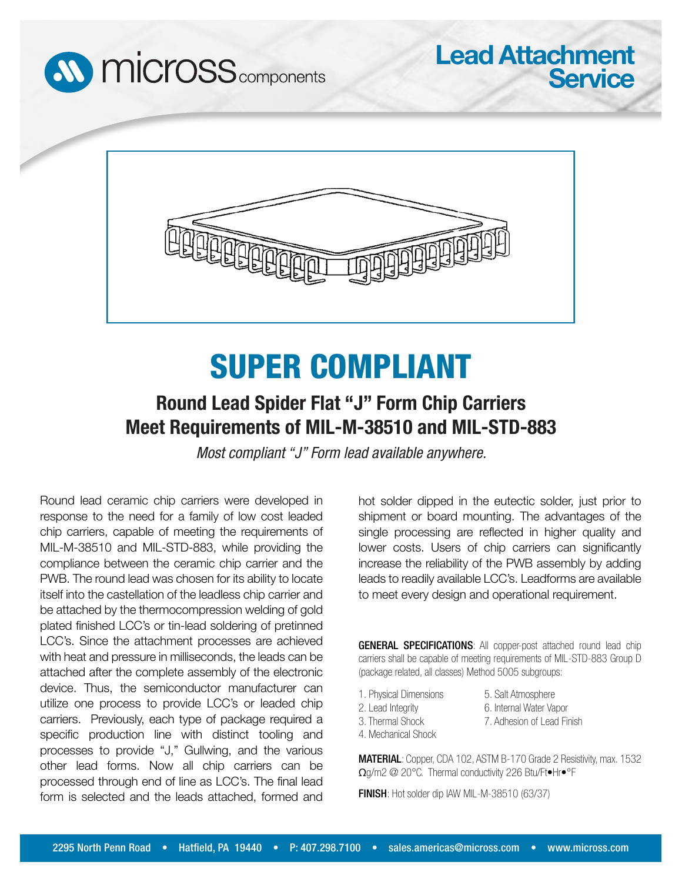



## SUPER COMPLIANT

## **Round Lead Spider Flat "J" Form Chip Carriers Meet Requirements of MIL-M-38510 and MIL-STD-883**

*Most compliant "J" Form lead available anywhere.*

Round lead ceramic chip carriers were developed in response to the need for a family of low cost leaded chip carriers, capable of meeting the requirements of MIL-M-38510 and MIL-STD-883, while providing the compliance between the ceramic chip carrier and the PWB. The round lead was chosen for its ability to locate itself into the castellation of the leadless chip carrier and be attached by the thermocompression welding of gold plated finished LCC's or tin-lead soldering of pretinned LCC's. Since the attachment processes are achieved with heat and pressure in milliseconds, the leads can be attached after the complete assembly of the electronic device. Thus, the semiconductor manufacturer can utilize one process to provide LCC's or leaded chip carriers. Previously, each type of package required a specific production line with distinct tooling and processes to provide "J," Gullwing, and the various other lead forms. Now all chip carriers can be processed through end of line as LCC's. The final lead form is selected and the leads attached, formed and

hot solder dipped in the eutectic solder, just prior to shipment or board mounting. The advantages of the single processing are reflected in higher quality and lower costs. Users of chip carriers can significantly increase the reliability of the PWB assembly by adding leads to readily available LCC's. Leadforms are available to meet every design and operational requirement.

**Lead Attachment**

**Service**

GENERAL SPECIFICATIONS: All copper-post attached round lead chip carriers shall be capable of meeting requirements of MIL-STD-883 Group D (package related, all classes) Method 5005 subgroups:

1. Physical Dimensions 2. Lead Integrity

5. Salt Atmosphere 6. Internal Water Vapor

7. Adhesion of Lead Finish

- 3. Thermal Shock
- 4. Mechanical Shock

MATERIAL: Copper, CDA 102, ASTM B-170 Grade 2 Resistivity, max. 1532 Ωg/m2 @ 20°C. Thermal conductivity 226 Btu/Ft•Hr•°F

FINISH: Hot solder dip IAW MIL-M-38510 (63/37)